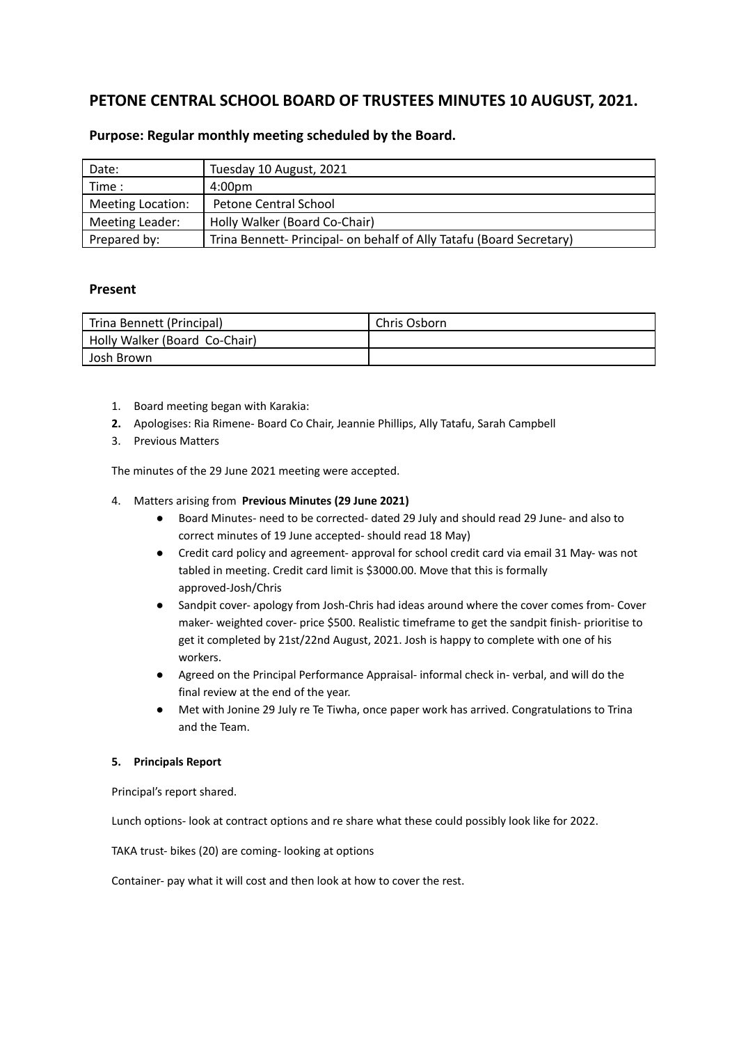# **PETONE CENTRAL SCHOOL BOARD OF TRUSTEES MINUTES 10 AUGUST, 2021.**

| Date:             | Tuesday 10 August, 2021                                              |
|-------------------|----------------------------------------------------------------------|
| Time :            | 4:00 <sub>pm</sub>                                                   |
| Meeting Location: | Petone Central School                                                |
| Meeting Leader:   | Holly Walker (Board Co-Chair)                                        |
| Prepared by:      | Trina Bennett- Principal- on behalf of Ally Tatafu (Board Secretary) |

# **Purpose: Regular monthly meeting scheduled by the Board.**

## **Present**

| Trina Bennett (Principal)     | Chris Osborn |
|-------------------------------|--------------|
| Holly Walker (Board Co-Chair) |              |
| Josh Brown                    |              |

- 1. Board meeting began with Karakia:
- **2.** Apologises: Ria Rimene- Board Co Chair, Jeannie Phillips, Ally Tatafu, Sarah Campbell
- 3. Previous Matters

The minutes of the 29 June 2021 meeting were accepted.

- 4. Matters arising from **Previous Minutes (29 June 2021)**
	- Board Minutes- need to be corrected- dated 29 July and should read 29 June- and also to correct minutes of 19 June accepted- should read 18 May)
	- Credit card policy and agreement- approval for school credit card via email 31 May- was not tabled in meeting. Credit card limit is \$3000.00. Move that this is formally approved-Josh/Chris
	- Sandpit cover- apology from Josh-Chris had ideas around where the cover comes from- Cover maker- weighted cover- price \$500. Realistic timeframe to get the sandpit finish- prioritise to get it completed by 21st/22nd August, 2021. Josh is happy to complete with one of his workers.
	- Agreed on the Principal Performance Appraisal- informal check in- verbal, and will do the final review at the end of the year.
	- Met with Jonine 29 July re Te Tiwha, once paper work has arrived. Congratulations to Trina and the Team.

### **5. Principals Report**

Principal's report shared.

Lunch options- look at contract options and re share what these could possibly look like for 2022.

TAKA trust- bikes (20) are coming- looking at options

Container- pay what it will cost and then look at how to cover the rest.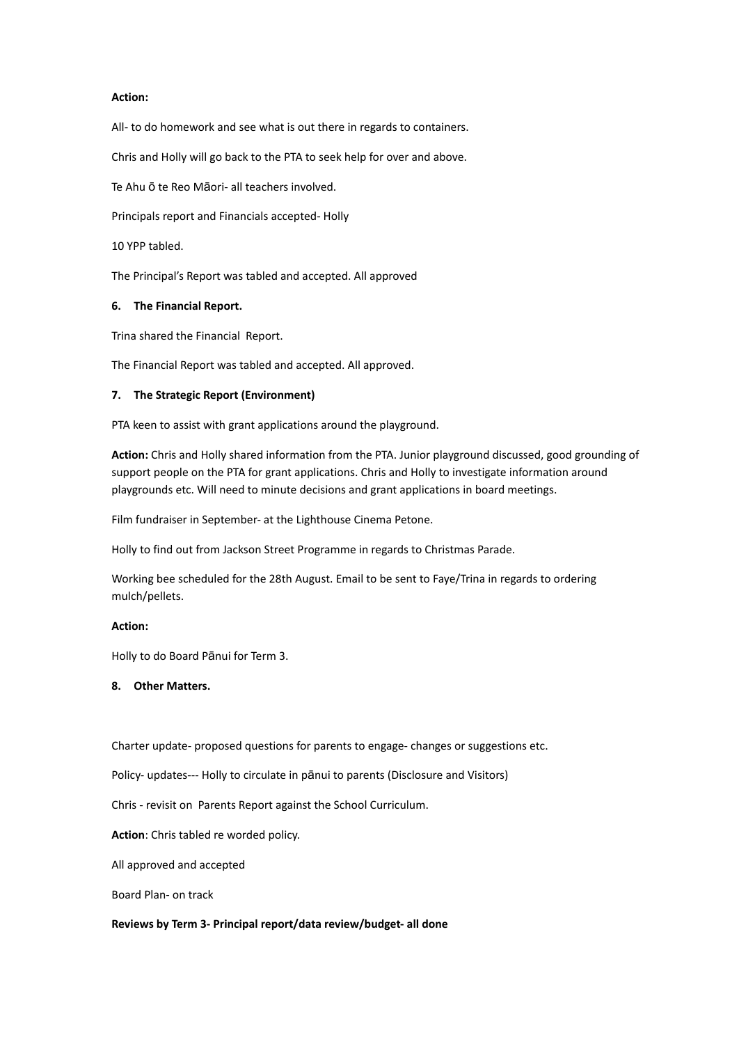#### **Action:**

All- to do homework and see what is out there in regards to containers.

Chris and Holly will go back to the PTA to seek help for over and above.

Te Ahu ō te Reo Māori- all teachers involved.

Principals report and Financials accepted- Holly

10 YPP tabled.

The Principal's Report was tabled and accepted. All approved

#### **6. The Financial Report.**

Trina shared the Financial Report.

The Financial Report was tabled and accepted. All approved.

#### **7. The Strategic Report (Environment)**

PTA keen to assist with grant applications around the playground.

**Action:** Chris and Holly shared information from the PTA. Junior playground discussed, good grounding of support people on the PTA for grant applications. Chris and Holly to investigate information around playgrounds etc. Will need to minute decisions and grant applications in board meetings.

Film fundraiser in September- at the Lighthouse Cinema Petone.

Holly to find out from Jackson Street Programme in regards to Christmas Parade.

Working bee scheduled for the 28th August. Email to be sent to Faye/Trina in regards to ordering mulch/pellets.

#### **Action:**

Holly to do Board Pānui for Term 3.

### **8. Other Matters.**

Charter update- proposed questions for parents to engage- changes or suggestions etc.

Policy- updates--- Holly to circulate in pānui to parents (Disclosure and Visitors)

Chris - revisit on Parents Report against the School Curriculum.

**Action**: Chris tabled re worded policy.

All approved and accepted

Board Plan- on track

#### **Reviews by Term 3- Principal report/data review/budget- all done**